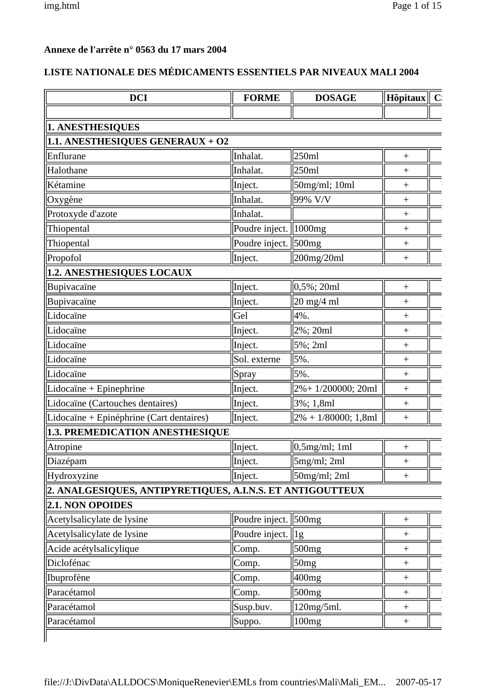### **Annexe de l'arrête n° 0563 du 17 mars 2004**

### **LISTE NATIONALE DES MÉDICAMENTS ESSENTIELS PAR NIVEAUX MALI 2004**

| <b>DCI</b>                                                | <b>FORME</b>            | <b>DOSAGE</b>           | Hôpitaux          | $\mathbf{C}$ |
|-----------------------------------------------------------|-------------------------|-------------------------|-------------------|--------------|
|                                                           |                         |                         |                   |              |
| 1. ANESTHESIQUES                                          |                         |                         |                   |              |
| 1.1. ANESTHESIQUES GENERAUX + O2                          |                         |                         |                   |              |
| Enflurane                                                 | Inhalat.                | 250ml                   | $^{+}$            |              |
| Halothane                                                 | Inhalat.                | 250ml                   | $^{+}$            |              |
| Kétamine                                                  | Inject.                 | 50mg/ml; 10ml           | $\ddot{}$         |              |
| Oxygène                                                   | Inhalat.                | 99% V/V                 | $^{+}$            |              |
| Protoxyde d'azote                                         | Inhalat.                |                         | $^{+}$            |              |
| Thiopental                                                | Poudre inject.   1000mg |                         | $^{+}$            |              |
| Thiopental                                                | Poudre inject.   500mg  |                         | $^{+}$            |              |
| Propofol                                                  | Inject.                 | 200mg/20ml              | $^{+}$            |              |
| 1.2. ANESTHESIQUES LOCAUX                                 |                         |                         |                   |              |
| Bupivacaïne                                               | Inject.                 | $0,5\%$ ; 20ml          | $^{+}$            |              |
| Bupivacaïne                                               | Inject.                 | 20 mg/4 ml              | $^{+}$            |              |
| Lidocaïne                                                 | Gel                     | 4%.                     | $\! + \!$         |              |
| Lidocaïne                                                 | Inject.                 | 2%; 20ml                | $^{+}$            |              |
| Lidocaïne                                                 | Inject.                 | 5%; 2ml                 | $^{+}$            |              |
| Lidocaïne                                                 | Sol. externe            | 5%.                     | $\ddot{}$         |              |
| Lidocaïne                                                 | Spray                   | 5%.                     | $\ddot{}$         |              |
| Lidocaïne + Epinephrine                                   | Inject.                 | 2%+1/200000; 20ml       | $^{+}$            |              |
| Lidocaïne (Cartouches dentaires)                          | Inject.                 | 3%; 1,8ml               | $\! + \!$         |              |
| Lidocaïne + Epinéphrine (Cart dentaires)                  | Inject.                 | $2\% + 1/80000$ ; 1,8ml | $^{+}$            |              |
| 1.3. PREMEDICATION ANESTHESIQUE                           |                         |                         |                   |              |
| Atropine                                                  | Inject.                 | $0,5$ mg/ml; 1ml        | $^{+}$            |              |
| Diazépam                                                  | Inject.                 | 5mg/ml; 2ml             | $\! +$            |              |
| Hydroxyzine                                               | Inject.                 | 50mg/ml; 2ml            | $^{+}$            |              |
| 2. ANALGESIQUES, ANTIPYRETIQUES, A.I.N.S. ET ANTIGOUTTEUX |                         |                         |                   |              |
| 2.1. NON OPOIDES                                          |                         |                         |                   |              |
| Acetylsalicylate de lysine                                | Poudre inject.   500mg  |                         | $^{+}$            |              |
| Acetylsalicylate de lysine                                | Poudre inject.          | $\lg$                   | $^{+}$            |              |
| Acide acétylsalicylique                                   | Comp.                   | 500 <sub>mg</sub>       | $^{+}$            |              |
| Diclofénac                                                | Comp.                   | 50mg                    | $^{+}$            |              |
| Ibuprofène                                                | Comp.                   | 400mg                   | $\qquad \qquad +$ |              |
| Paracétamol                                               | Comp.                   | 500 <sub>mg</sub>       | $^{+}$            |              |
| Paracétamol                                               | Susp.buv.               | 120mg/5ml.              | $\qquad \qquad +$ |              |
| Paracétamol                                               | Suppo.                  | 100 <sub>mg</sub>       |                   |              |
|                                                           |                         |                         |                   |              |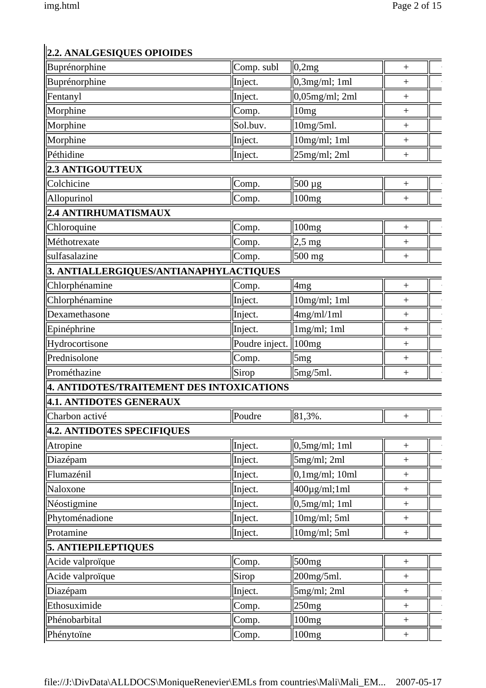# **2.2. ANALGESIQUES OPIOIDES**

| Buprénorphine                             | Comp. subl     | 0,2mg                 | $^{+}$            |
|-------------------------------------------|----------------|-----------------------|-------------------|
| Buprénorphine                             | Inject.        | $0,3$ mg/ml; 1ml      | $^{+}$            |
| Fentanyl                                  | Inject.        | $0,05$ mg/ml; 2ml     | $^{+}$            |
| Morphine                                  | Comp.          | 10mg                  | $\! + \!$         |
| Morphine                                  | Sol.buv.       | 10mg/5ml.             | $\! + \!$         |
| Morphine                                  | Inject.        | $10mg/ml$ ; 1ml       | $\! + \!$         |
| Péthidine                                 | Inject.        | $25mg/ml$ ; 2ml       | $\! + \!$         |
| <b>2.3 ANTIGOUTTEUX</b>                   |                |                       |                   |
| Colchicine                                | Comp.          | 500 µg                | $\! + \!$         |
| Allopurinol                               | Comp.          | 100 <sub>mg</sub>     | $\boldsymbol{+}$  |
| 2.4 ANTIRHUMATISMAUX                      |                |                       |                   |
| Chloroquine                               | Comp.          | 100mg                 | $\boldsymbol{+}$  |
| Méthotrexate                              | Comp.          | $2.5 \text{ mg}$      | $\ddot{}$         |
| sulfasalazine                             | Comp.          | $500$ mg              | $\qquad \qquad +$ |
| 3. ANTIALLERGIQUES/ANTIANAPHYLACTIQUES    |                |                       |                   |
| Chlorphénamine                            | Comp.          | 4 <sub>mg</sub>       | $\overline{+}$    |
| Chlorphénamine                            | Inject.        | $10mg/ml$ ; 1ml       | $\! + \!$         |
| Dexamethasone                             | Inject.        | 4mg/ml/1ml            | $^{+}$            |
| Epinéphrine                               | Inject.        | $1mg/ml$ ; 1ml        | $\! + \!$         |
| Hydrocortisone                            | Poudre inject. | 100 <sub>mg</sub>     | $\! + \!$         |
| Prednisolone                              | Comp.          | 5mg                   | $^{+}$            |
| Prométhazine                              | Sirop          | 5mg/5ml.              | $^{+}$            |
| 4. ANTIDOTES/TRAITEMENT DES INTOXICATIONS |                |                       |                   |
| 4.1. ANTIDOTES GENERAUX                   |                |                       |                   |
| Charbon activé                            | Poudre         | 81,3%.                | $\! + \!$         |
| 4.2. ANTIDOTES SPECIFIQUES                |                |                       |                   |
| Atropine                                  | Inject.        | 0,5mg/ml;1ml          | $^{+}$            |
| Diazépam                                  | Inject.        | $5mg/ml$ ; 2ml        | $^{+}$            |
| Flumazénil                                | Inject.        | $0,1$ mg/ml; 10ml     | $^{+}$            |
| Naloxone                                  | Inject.        | $400 \mu g/ml$ ; 1 ml | $\qquad \qquad +$ |
| Néostigmine                               | Inject.        | 0,5mg/ml;1ml          | $\qquad \qquad +$ |
| Phytoménadione                            | Inject.        | $10mg/ml;$ 5ml        | $\boldsymbol{+}$  |
| Protamine                                 | Inject.        | $10mg/ml$ ; 5ml       | $\! +$            |
| <b>5. ANTIEPILEPTIQUES</b>                |                |                       |                   |
| Acide valproïque                          | Comp.          | 500 <sub>mg</sub>     |                   |
| Acide valproïque                          | Sirop          | 200mg/5ml.            | $\boldsymbol{+}$  |
| Diazépam                                  | Inject.        | 5mg/ml; 2ml           | $\! +$            |
| Ethosuximide                              | Comp.          | 250mg                 | $^{+}$            |
| Phénobarbital                             | Comp.          | 100mg                 | $\boldsymbol{+}$  |
| Phénytoïne                                | Comp.          | 100mg                 | $\ddot{}$         |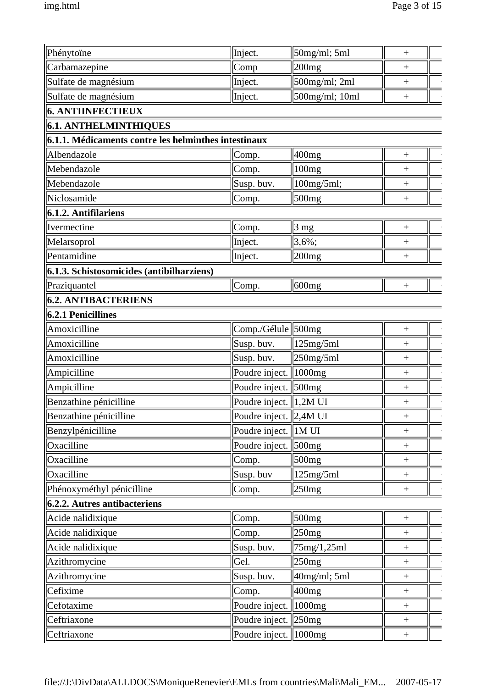| Phénytoïne                                           | Inject.            | 50mg/ml; 5ml      | $^{+}$                           |
|------------------------------------------------------|--------------------|-------------------|----------------------------------|
| Carbamazepine                                        | Comp               | 200mg             | $^{+}$                           |
| Sulfate de magnésium                                 | Inject.            | 500mg/ml; 2ml     | $\! +$                           |
| Sulfate de magnésium                                 | Inject.            | 500mg/ml; 10ml    | $\qquad \qquad +$                |
| 6. ANTIINFECTIEUX                                    |                    |                   |                                  |
| 6.1. ANTHELMINTHIQUES                                |                    |                   |                                  |
| 6.1.1. Médicaments contre les helminthes intestinaux |                    |                   |                                  |
| Albendazole                                          | Comp.              | 400 <sub>mg</sub> | $\qquad \qquad +$                |
| Mebendazole                                          | Comp.              | 100mg             | $^{+}$                           |
| Mebendazole                                          | Susp. buv.         | 100mg/5ml;        | $^{+}$                           |
| Niclosamide                                          | Comp.              | 500 <sub>mg</sub> | $^{+}$                           |
| $6.1.2.$ Antifilariens                               |                    |                   |                                  |
| Ivermectine                                          | Comp.              | $3 \text{ mg}$    | $\ddot{}$                        |
| Melarsoprol                                          | Inject.            | $3,6\%;$          | $^{+}$                           |
| Pentamidine                                          | Inject.            | $ 200$ mg         | $\qquad \qquad +$                |
| $6.1.3.$ Schistosomicides (antibilharziens)          |                    |                   |                                  |
| Praziquantel                                         | Comp.              | 600 <sub>mg</sub> | $\ddot{}$                        |
| <b>6.2. ANTIBACTERIENS</b>                           |                    |                   |                                  |
| $6.2.1$ Penicillines                                 |                    |                   |                                  |
| Amoxicilline                                         | Comp./Gélule 500mg |                   | $\boldsymbol{+}$                 |
| Amoxicilline                                         | Susp. buv.         | 125mg/5ml         | $\ddot{}$                        |
| Amoxicilline                                         | Susp. buv.         | $250$ mg/5ml      | $^{+}$                           |
| Ampicilline                                          | Poudre inject.     | 1000mg            | $^{+}$                           |
| Ampicilline                                          | Poudre inject.     | 500mg             | $^{+}$                           |
| Benzathine pénicilline                               | Poudre inject.     | 1,2M UI           | $^{+}$                           |
| Benzathine pénicilline                               | Poudre inject.     | 2,4M UI           | $^{+}$                           |
| Benzylpénicilline                                    | Poudre inject.     | 1M UI             | $^{+}$                           |
| Oxacilline                                           | Poudre inject.     | 500mg             | $^{+}$                           |
| Oxacilline                                           | Comp.              | 500mg             | $\begin{array}{c} + \end{array}$ |
| Oxacilline                                           | Susp. buv          | 125mg/5ml         | $\begin{array}{c} + \end{array}$ |
| Phénoxyméthyl pénicilline                            | Comp.              | 250mg             | $\qquad \qquad +$                |
| 6.2.2. Autres antibacteriens                         |                    |                   |                                  |
| Acide nalidixique                                    | Comp.              | 500mg             | $^{+}$                           |
| Acide nalidixique                                    | Comp.              | 250mg             | $\! +$                           |
| Acide nalidixique                                    | Susp. buv.         | 75mg/1,25ml       | $\! +$                           |
| Azithromycine                                        | Gel.               | 250mg             | $\qquad \qquad +$                |
| Azithromycine                                        | Susp. buv.         | 40mg/ml; 5ml      | $\! +$                           |
| Cefixime                                             | Comp.              | $400$ mg          | $\qquad \qquad +$                |
| Cefotaxime                                           | Poudre inject.     | 1000mg            | $\! +$                           |
| Ceftriaxone                                          | Poudre inject.     | 250mg             | $\! +$                           |
| Ceftriaxone                                          | Poudre inject.     | 1000mg            |                                  |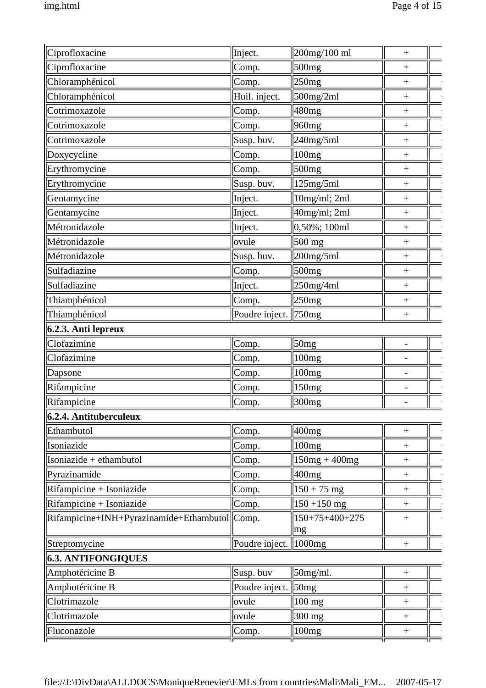| 500mg<br>Ciprofloxacine<br>Comp.<br>$^{+}$<br>Chloramphénicol<br>250mg<br>Comp.<br>Chloramphénicol<br>Huil. inject.<br>$500$ mg/2ml<br>$\! + \!$<br>Cotrimoxazole<br>480mg<br>Comp.<br>960 <sub>mg</sub><br>Cotrimoxazole<br>Comp.<br>$^{+}$<br>Cotrimoxazole<br>Susp. buv.<br>240mg/5ml<br>$^{+}$<br>Doxycycline<br>Comp.<br>100mg<br>$^{+}$<br>Erythromycine<br>Comp.<br>500 <sub>mg</sub><br>$^{+}$<br>Erythromycine<br>Susp. buv.<br>125mg/5ml<br>$^{+}$<br>Gentamycine<br>10mg/ml; 2ml<br>Inject.<br>$\! +$<br>40mg/ml; 2ml<br>Gentamycine<br>Inject.<br>$\! + \!$<br>$0,50\%$ ; 100ml<br>Métronidazole<br>Inject.<br>$^{+}$<br>Métronidazole<br>500 mg<br>ovule<br>$^{+}$<br>Métronidazole<br>Susp. buv.<br>$200$ mg/5ml<br>$^{+}$<br>Sulfadiazine<br>500mg<br>Comp.<br>$^{+}$<br>250mg/4ml<br>Sulfadiazine<br>Inject.<br>$^{+}$<br>Thiamphénicol<br>Comp.<br>250mg<br>$^{+}$<br>Thiamphénicol<br>Poudre inject.   750mg<br>$^{+}$<br>6.2.3. Anti lepreux<br>50 <sub>mg</sub><br>Clofazimine<br>Comp.<br>$\overline{\phantom{0}}$<br>Clofazimine<br>100 <sub>mg</sub><br>Comp.<br>100mg<br>Comp.<br>150mg<br>Comp.<br>$\overline{a}$<br>Comp.<br>300mg<br>$\overline{\phantom{0}}$<br>400mg<br>Ethambutol<br>Comp.<br>$\! + \!$<br>Isoniazide<br>Comp.<br>100mg<br>$\! + \!$<br>Isoniazide + ethambutol<br>$150mg + 400mg$<br>Comp.<br>$\! + \!$<br>400mg<br>Pyrazinamide<br>Comp.<br>$\! + \!$<br>Rifampicine + Isoniazide<br>$150 + 75$ mg<br>Comp.<br>$\! + \!$<br>Rifampicine + Isoniazide<br>$150 + 150$ mg<br>Comp.<br>$^{+}$<br>Rifampicine+INH+Pyrazinamide+Ethambutol Comp.<br>$150+75+400+275$<br>$\! + \!$<br>mg<br>Streptomycine<br>Poudre inject.<br>$\parallel$ 1000 $mg$<br><b>6.3. ANTIFONGIQUES</b><br>50mg/ml.<br>Susp. buv<br>Amphotéricine B<br>$\! + \!$<br>50mg<br>Amphotéricine B<br>Poudre inject.<br>$\! + \!$<br>Clotrimazole<br>$100$ mg<br>ovule<br>Clotrimazole<br>ovule<br>$300$ mg<br>$^{+}$<br>Comp.<br>100mg<br>$^{+}$ | Ciprofloxacine         | Inject. | 200mg/100 ml | $\! + \!$ |
|---------------------------------------------------------------------------------------------------------------------------------------------------------------------------------------------------------------------------------------------------------------------------------------------------------------------------------------------------------------------------------------------------------------------------------------------------------------------------------------------------------------------------------------------------------------------------------------------------------------------------------------------------------------------------------------------------------------------------------------------------------------------------------------------------------------------------------------------------------------------------------------------------------------------------------------------------------------------------------------------------------------------------------------------------------------------------------------------------------------------------------------------------------------------------------------------------------------------------------------------------------------------------------------------------------------------------------------------------------------------------------------------------------------------------------------------------------------------------------------------------------------------------------------------------------------------------------------------------------------------------------------------------------------------------------------------------------------------------------------------------------------------------------------------------------------------------------------------------------------------------------------------------------------------------------------------------------------|------------------------|---------|--------------|-----------|
|                                                                                                                                                                                                                                                                                                                                                                                                                                                                                                                                                                                                                                                                                                                                                                                                                                                                                                                                                                                                                                                                                                                                                                                                                                                                                                                                                                                                                                                                                                                                                                                                                                                                                                                                                                                                                                                                                                                                                               |                        |         |              |           |
|                                                                                                                                                                                                                                                                                                                                                                                                                                                                                                                                                                                                                                                                                                                                                                                                                                                                                                                                                                                                                                                                                                                                                                                                                                                                                                                                                                                                                                                                                                                                                                                                                                                                                                                                                                                                                                                                                                                                                               |                        |         |              |           |
|                                                                                                                                                                                                                                                                                                                                                                                                                                                                                                                                                                                                                                                                                                                                                                                                                                                                                                                                                                                                                                                                                                                                                                                                                                                                                                                                                                                                                                                                                                                                                                                                                                                                                                                                                                                                                                                                                                                                                               |                        |         |              |           |
|                                                                                                                                                                                                                                                                                                                                                                                                                                                                                                                                                                                                                                                                                                                                                                                                                                                                                                                                                                                                                                                                                                                                                                                                                                                                                                                                                                                                                                                                                                                                                                                                                                                                                                                                                                                                                                                                                                                                                               |                        |         |              |           |
|                                                                                                                                                                                                                                                                                                                                                                                                                                                                                                                                                                                                                                                                                                                                                                                                                                                                                                                                                                                                                                                                                                                                                                                                                                                                                                                                                                                                                                                                                                                                                                                                                                                                                                                                                                                                                                                                                                                                                               |                        |         |              |           |
|                                                                                                                                                                                                                                                                                                                                                                                                                                                                                                                                                                                                                                                                                                                                                                                                                                                                                                                                                                                                                                                                                                                                                                                                                                                                                                                                                                                                                                                                                                                                                                                                                                                                                                                                                                                                                                                                                                                                                               |                        |         |              |           |
|                                                                                                                                                                                                                                                                                                                                                                                                                                                                                                                                                                                                                                                                                                                                                                                                                                                                                                                                                                                                                                                                                                                                                                                                                                                                                                                                                                                                                                                                                                                                                                                                                                                                                                                                                                                                                                                                                                                                                               |                        |         |              |           |
|                                                                                                                                                                                                                                                                                                                                                                                                                                                                                                                                                                                                                                                                                                                                                                                                                                                                                                                                                                                                                                                                                                                                                                                                                                                                                                                                                                                                                                                                                                                                                                                                                                                                                                                                                                                                                                                                                                                                                               |                        |         |              |           |
|                                                                                                                                                                                                                                                                                                                                                                                                                                                                                                                                                                                                                                                                                                                                                                                                                                                                                                                                                                                                                                                                                                                                                                                                                                                                                                                                                                                                                                                                                                                                                                                                                                                                                                                                                                                                                                                                                                                                                               |                        |         |              |           |
|                                                                                                                                                                                                                                                                                                                                                                                                                                                                                                                                                                                                                                                                                                                                                                                                                                                                                                                                                                                                                                                                                                                                                                                                                                                                                                                                                                                                                                                                                                                                                                                                                                                                                                                                                                                                                                                                                                                                                               |                        |         |              |           |
|                                                                                                                                                                                                                                                                                                                                                                                                                                                                                                                                                                                                                                                                                                                                                                                                                                                                                                                                                                                                                                                                                                                                                                                                                                                                                                                                                                                                                                                                                                                                                                                                                                                                                                                                                                                                                                                                                                                                                               |                        |         |              |           |
|                                                                                                                                                                                                                                                                                                                                                                                                                                                                                                                                                                                                                                                                                                                                                                                                                                                                                                                                                                                                                                                                                                                                                                                                                                                                                                                                                                                                                                                                                                                                                                                                                                                                                                                                                                                                                                                                                                                                                               |                        |         |              |           |
|                                                                                                                                                                                                                                                                                                                                                                                                                                                                                                                                                                                                                                                                                                                                                                                                                                                                                                                                                                                                                                                                                                                                                                                                                                                                                                                                                                                                                                                                                                                                                                                                                                                                                                                                                                                                                                                                                                                                                               |                        |         |              |           |
|                                                                                                                                                                                                                                                                                                                                                                                                                                                                                                                                                                                                                                                                                                                                                                                                                                                                                                                                                                                                                                                                                                                                                                                                                                                                                                                                                                                                                                                                                                                                                                                                                                                                                                                                                                                                                                                                                                                                                               |                        |         |              |           |
|                                                                                                                                                                                                                                                                                                                                                                                                                                                                                                                                                                                                                                                                                                                                                                                                                                                                                                                                                                                                                                                                                                                                                                                                                                                                                                                                                                                                                                                                                                                                                                                                                                                                                                                                                                                                                                                                                                                                                               |                        |         |              |           |
|                                                                                                                                                                                                                                                                                                                                                                                                                                                                                                                                                                                                                                                                                                                                                                                                                                                                                                                                                                                                                                                                                                                                                                                                                                                                                                                                                                                                                                                                                                                                                                                                                                                                                                                                                                                                                                                                                                                                                               |                        |         |              |           |
|                                                                                                                                                                                                                                                                                                                                                                                                                                                                                                                                                                                                                                                                                                                                                                                                                                                                                                                                                                                                                                                                                                                                                                                                                                                                                                                                                                                                                                                                                                                                                                                                                                                                                                                                                                                                                                                                                                                                                               |                        |         |              |           |
|                                                                                                                                                                                                                                                                                                                                                                                                                                                                                                                                                                                                                                                                                                                                                                                                                                                                                                                                                                                                                                                                                                                                                                                                                                                                                                                                                                                                                                                                                                                                                                                                                                                                                                                                                                                                                                                                                                                                                               |                        |         |              |           |
|                                                                                                                                                                                                                                                                                                                                                                                                                                                                                                                                                                                                                                                                                                                                                                                                                                                                                                                                                                                                                                                                                                                                                                                                                                                                                                                                                                                                                                                                                                                                                                                                                                                                                                                                                                                                                                                                                                                                                               |                        |         |              |           |
|                                                                                                                                                                                                                                                                                                                                                                                                                                                                                                                                                                                                                                                                                                                                                                                                                                                                                                                                                                                                                                                                                                                                                                                                                                                                                                                                                                                                                                                                                                                                                                                                                                                                                                                                                                                                                                                                                                                                                               |                        |         |              |           |
|                                                                                                                                                                                                                                                                                                                                                                                                                                                                                                                                                                                                                                                                                                                                                                                                                                                                                                                                                                                                                                                                                                                                                                                                                                                                                                                                                                                                                                                                                                                                                                                                                                                                                                                                                                                                                                                                                                                                                               |                        |         |              |           |
|                                                                                                                                                                                                                                                                                                                                                                                                                                                                                                                                                                                                                                                                                                                                                                                                                                                                                                                                                                                                                                                                                                                                                                                                                                                                                                                                                                                                                                                                                                                                                                                                                                                                                                                                                                                                                                                                                                                                                               | Dapsone                |         |              |           |
|                                                                                                                                                                                                                                                                                                                                                                                                                                                                                                                                                                                                                                                                                                                                                                                                                                                                                                                                                                                                                                                                                                                                                                                                                                                                                                                                                                                                                                                                                                                                                                                                                                                                                                                                                                                                                                                                                                                                                               | Rifampicine            |         |              |           |
|                                                                                                                                                                                                                                                                                                                                                                                                                                                                                                                                                                                                                                                                                                                                                                                                                                                                                                                                                                                                                                                                                                                                                                                                                                                                                                                                                                                                                                                                                                                                                                                                                                                                                                                                                                                                                                                                                                                                                               | Rifampicine            |         |              |           |
|                                                                                                                                                                                                                                                                                                                                                                                                                                                                                                                                                                                                                                                                                                                                                                                                                                                                                                                                                                                                                                                                                                                                                                                                                                                                                                                                                                                                                                                                                                                                                                                                                                                                                                                                                                                                                                                                                                                                                               | 6.2.4. Antituberculeux |         |              |           |
|                                                                                                                                                                                                                                                                                                                                                                                                                                                                                                                                                                                                                                                                                                                                                                                                                                                                                                                                                                                                                                                                                                                                                                                                                                                                                                                                                                                                                                                                                                                                                                                                                                                                                                                                                                                                                                                                                                                                                               |                        |         |              |           |
|                                                                                                                                                                                                                                                                                                                                                                                                                                                                                                                                                                                                                                                                                                                                                                                                                                                                                                                                                                                                                                                                                                                                                                                                                                                                                                                                                                                                                                                                                                                                                                                                                                                                                                                                                                                                                                                                                                                                                               |                        |         |              |           |
|                                                                                                                                                                                                                                                                                                                                                                                                                                                                                                                                                                                                                                                                                                                                                                                                                                                                                                                                                                                                                                                                                                                                                                                                                                                                                                                                                                                                                                                                                                                                                                                                                                                                                                                                                                                                                                                                                                                                                               |                        |         |              |           |
|                                                                                                                                                                                                                                                                                                                                                                                                                                                                                                                                                                                                                                                                                                                                                                                                                                                                                                                                                                                                                                                                                                                                                                                                                                                                                                                                                                                                                                                                                                                                                                                                                                                                                                                                                                                                                                                                                                                                                               |                        |         |              |           |
|                                                                                                                                                                                                                                                                                                                                                                                                                                                                                                                                                                                                                                                                                                                                                                                                                                                                                                                                                                                                                                                                                                                                                                                                                                                                                                                                                                                                                                                                                                                                                                                                                                                                                                                                                                                                                                                                                                                                                               |                        |         |              |           |
|                                                                                                                                                                                                                                                                                                                                                                                                                                                                                                                                                                                                                                                                                                                                                                                                                                                                                                                                                                                                                                                                                                                                                                                                                                                                                                                                                                                                                                                                                                                                                                                                                                                                                                                                                                                                                                                                                                                                                               |                        |         |              |           |
|                                                                                                                                                                                                                                                                                                                                                                                                                                                                                                                                                                                                                                                                                                                                                                                                                                                                                                                                                                                                                                                                                                                                                                                                                                                                                                                                                                                                                                                                                                                                                                                                                                                                                                                                                                                                                                                                                                                                                               |                        |         |              |           |
|                                                                                                                                                                                                                                                                                                                                                                                                                                                                                                                                                                                                                                                                                                                                                                                                                                                                                                                                                                                                                                                                                                                                                                                                                                                                                                                                                                                                                                                                                                                                                                                                                                                                                                                                                                                                                                                                                                                                                               |                        |         |              |           |
|                                                                                                                                                                                                                                                                                                                                                                                                                                                                                                                                                                                                                                                                                                                                                                                                                                                                                                                                                                                                                                                                                                                                                                                                                                                                                                                                                                                                                                                                                                                                                                                                                                                                                                                                                                                                                                                                                                                                                               |                        |         |              |           |
|                                                                                                                                                                                                                                                                                                                                                                                                                                                                                                                                                                                                                                                                                                                                                                                                                                                                                                                                                                                                                                                                                                                                                                                                                                                                                                                                                                                                                                                                                                                                                                                                                                                                                                                                                                                                                                                                                                                                                               |                        |         |              |           |
|                                                                                                                                                                                                                                                                                                                                                                                                                                                                                                                                                                                                                                                                                                                                                                                                                                                                                                                                                                                                                                                                                                                                                                                                                                                                                                                                                                                                                                                                                                                                                                                                                                                                                                                                                                                                                                                                                                                                                               |                        |         |              |           |
|                                                                                                                                                                                                                                                                                                                                                                                                                                                                                                                                                                                                                                                                                                                                                                                                                                                                                                                                                                                                                                                                                                                                                                                                                                                                                                                                                                                                                                                                                                                                                                                                                                                                                                                                                                                                                                                                                                                                                               |                        |         |              |           |
|                                                                                                                                                                                                                                                                                                                                                                                                                                                                                                                                                                                                                                                                                                                                                                                                                                                                                                                                                                                                                                                                                                                                                                                                                                                                                                                                                                                                                                                                                                                                                                                                                                                                                                                                                                                                                                                                                                                                                               |                        |         |              |           |
|                                                                                                                                                                                                                                                                                                                                                                                                                                                                                                                                                                                                                                                                                                                                                                                                                                                                                                                                                                                                                                                                                                                                                                                                                                                                                                                                                                                                                                                                                                                                                                                                                                                                                                                                                                                                                                                                                                                                                               | Fluconazole            |         |              |           |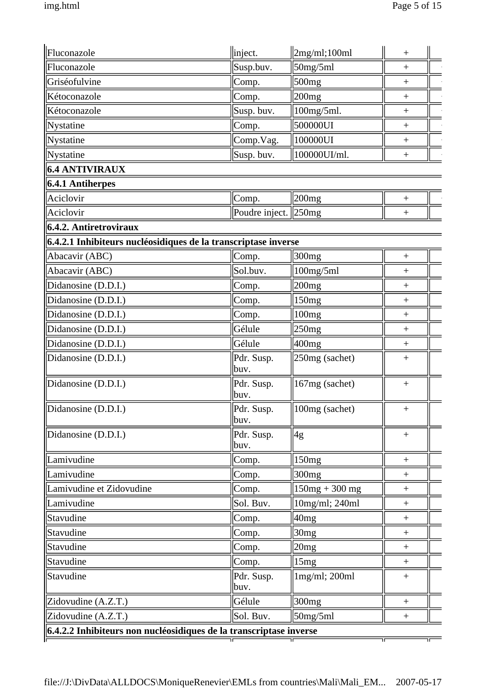| Fluconazole                                                             | inject.            | 2mg/ml;100ml      | $^{+}$            |
|-------------------------------------------------------------------------|--------------------|-------------------|-------------------|
| Fluconazole                                                             | Susp.buv.          | 50mg/5ml          | $\boldsymbol{+}$  |
| Griséofulvine                                                           | Comp.              | 500mg             | $\boldsymbol{+}$  |
| Kétoconazole                                                            | Comp.              | 200mg             | $\qquad \qquad +$ |
| Kétoconazole                                                            | Susp. buv.         | 100mg/5ml.        | $\! + \!$         |
| Nystatine                                                               | Comp.              | 500000UI          | $\ddot{}$         |
| Nystatine                                                               | Comp.Vag.          | 100000UI          | $\ddot{}$         |
| Nystatine                                                               | Susp. buv.         | 100000UI/ml.      | $^{+}$            |
| <b>6.4 ANTIVIRAUX</b>                                                   |                    |                   |                   |
| $6.4.1$ Antiherpes                                                      |                    |                   |                   |
| Aciclovir                                                               | Comp.              | 200 <sub>mg</sub> |                   |
| Aciclovir                                                               | Poudre inject.     | $\parallel$ 250mg | $\! +$            |
| $6.4.2.$ Antiretroviraux                                                |                    |                   |                   |
| 6.4.2.1 Inhibiteurs nucléosidiques de la transcriptase inverse          |                    |                   |                   |
| Abacavir (ABC)                                                          | Comp.              | 300 <sub>mg</sub> | $\ddot{}$         |
| Abacavir (ABC)                                                          | Sol.buv.           | 100mg/5ml         | $^{+}$            |
| Didanosine (D.D.I.)                                                     | Comp.              | 200mg             | $^{+}$            |
| Didanosine (D.D.I.)                                                     | Comp.              | 150mg             | $\! +$            |
| Didanosine (D.D.I.)                                                     | Comp.              | 100mg             | $\ddot{}$         |
| Didanosine (D.D.I.)                                                     | Gélule             | 250mg             | $\ddot{}$         |
| Didanosine (D.D.I.)                                                     | Gélule             | 400 <sub>mg</sub> | $^{+}$            |
| Didanosine (D.D.I.)                                                     | Pdr. Susp.<br>buv. | 250mg (sachet)    | $^{+}$            |
| Didanosine (D.D.I.)                                                     | Pdr. Susp.<br>buv. | 167mg (sachet)    | $\boldsymbol{+}$  |
| Didanosine (D.D.I.)                                                     | Pdr. Susp.<br>buv. | $100mg$ (sachet)  | $^{\mathrm{+}}$   |
| Didanosine (D.D.I.)                                                     | Pdr. Susp.<br>buv. | 4g                | $\qquad \qquad +$ |
| Lamivudine                                                              | Comp.              | 150 <sub>mg</sub> | $\boldsymbol{+}$  |
| Lamivudine                                                              | Comp.              | 300 <sub>mg</sub> | $+$               |
| Lamivudine et Zidovudine                                                | Comp.              | $150mg + 300mg$   | $^{+}$            |
| Lamivudine                                                              | Sol. Buv.          | 10mg/ml; 240ml    | $\boldsymbol{+}$  |
| Stavudine                                                               | Comp.              | 40mg              | $\! + \!$         |
| Stavudine                                                               | Comp.              | 30mg              | $\qquad \qquad +$ |
| Stavudine                                                               | Comp.              | 20mg              | $\boldsymbol{+}$  |
| Stavudine                                                               | Comp.              | 15mg              | $+$               |
| Stavudine                                                               | Pdr. Susp.<br>buv. | 1mg/ml; 200ml     | $\boldsymbol{+}$  |
| Zidovudine (A.Z.T.)                                                     | Gélule             | 300mg             | $\boldsymbol{+}$  |
| Zidovudine (A.Z.T.)                                                     | Sol. Buv.          | 50mg/5ml          | $^{+}$            |
| $\ $ 6.4.2.2 Inhibiteurs non nucléosidiques de la transcriptase inverse |                    |                   |                   |
|                                                                         |                    |                   |                   |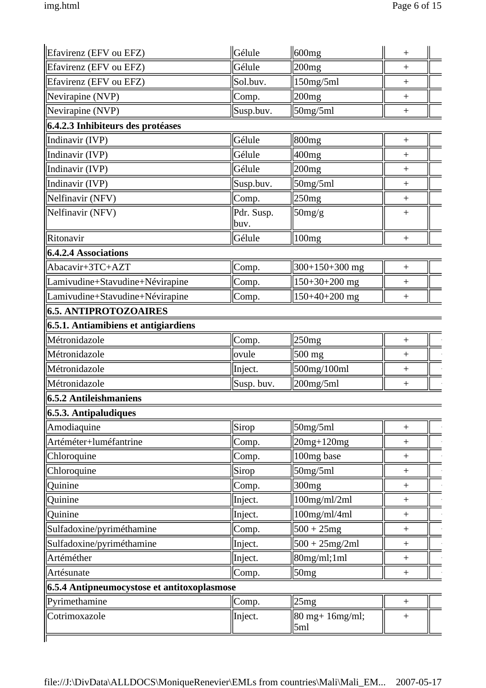| Efavirenz (EFV ou EFZ)                      | Gélule             | $ 600$ mg              | $^{+}$                           |
|---------------------------------------------|--------------------|------------------------|----------------------------------|
| Efavirenz (EFV ou EFZ)                      | Gélule             | 200mg                  | $\ddot{}$                        |
| Efavirenz (EFV ou EFZ)                      | Sol.buv.           | 150mg/5ml              | $^{+}$                           |
| Nevirapine (NVP)                            | Comp.              | $ 200$ mg              | $^{+}$                           |
| Nevirapine (NVP)                            | Susp.buv.          | 50mg/5ml               | $\qquad \qquad +$                |
| 6.4.2.3 Inhibiteurs des protéases           |                    |                        |                                  |
| Indinavir (IVP)                             | Gélule             | 800 <sub>mg</sub>      | $\qquad \qquad +$                |
| Indinavir (IVP)                             | Gélule             | $400$ mg               | $\! +$                           |
| Indinavir (IVP)                             | Gélule             | 200mg                  | $^{+}$                           |
| Indinavir (IVP)                             | Susp.buv.          | 50mg/5ml               | $^{+}$                           |
| Nelfinavir (NFV)                            | Comp.              | 250mg                  | $^{+}$                           |
| Nelfinavir (NFV)                            | Pdr. Susp.<br>buv. | 50mg/g                 | $^{+}$                           |
| Ritonavir                                   | Gélule             | 100mg                  | $\begin{array}{c} + \end{array}$ |
| <b>6.4.2.4 Associations</b>                 |                    |                        |                                  |
| Abacavir+3TC+AZT                            | Comp.              | $300+150+300$ mg       | $\! +$                           |
| Lamivudine+Stavudine+Névirapine             | Comp.              | $150+30+200$ mg        | $\! +$                           |
| Lamivudine+Stavudine+Névirapine             | Comp.              | $150+40+200$ mg        | $^{+}$                           |
| <b>6.5. ANTIPROTOZOAIRES</b>                |                    |                        |                                  |
| 6.5.1. Antiamibiens et antigiardiens        |                    |                        |                                  |
| Métronidazole                               | Comp.              | 250mg                  | $^{+}$                           |
| Métronidazole                               | ovule              | $500$ mg               | $^{+}$                           |
| Métronidazole                               | Inject.            | 500mg/100ml            | $^{+}$                           |
| Métronidazole                               | Susp. buv.         | $200$ mg/5ml           | $^{+}$                           |
| <b>6.5.2 Antileishmaniens</b>               |                    |                        |                                  |
| 6.5.3. Antipaludiques                       |                    |                        |                                  |
| Amodiaquine                                 | Sirop              | 50mg/5ml               | $^{+}$                           |
| Artéméter+luméfantrine                      | Comp.              | $20mg+120mg$           | $^{+}$                           |
| Chloroquine                                 | Comp.              | 100mg base             | $^{+}$                           |
| Chloroquine                                 | Sirop              | 50mg/5ml               | $^{+}$                           |
| Quinine                                     | Comp.              | 300 <sub>mg</sub>      | $^{+}$                           |
| Quinine                                     | Inject.            | $100$ mg/ml/2ml        | $^{+}$                           |
| Quinine                                     | Inject.            | $100$ mg/ml/4ml        | $^{+}$                           |
| Sulfadoxine/pyriméthamine                   | Comp.              | $500 + 25mg$           | $^{+}$                           |
| Sulfadoxine/pyriméthamine                   | Inject.            | $500 + 25mg/2ml$       | $^{+}$                           |
| Artéméther                                  | Inject.            | 80mg/ml;1ml            | $^{+}$                           |
| Artésunate                                  | Comp.              | 50mg                   | $^{+}$                           |
| 6.5.4 Antipneumocystose et antitoxoplasmose |                    |                        |                                  |
| Pyrimethamine                               | Comp.              | 25mg                   | $^{+}$                           |
| Cotrimoxazole                               | Inject.            | 80 mg+ 16mg/ml;<br>5ml | $\qquad \qquad +$                |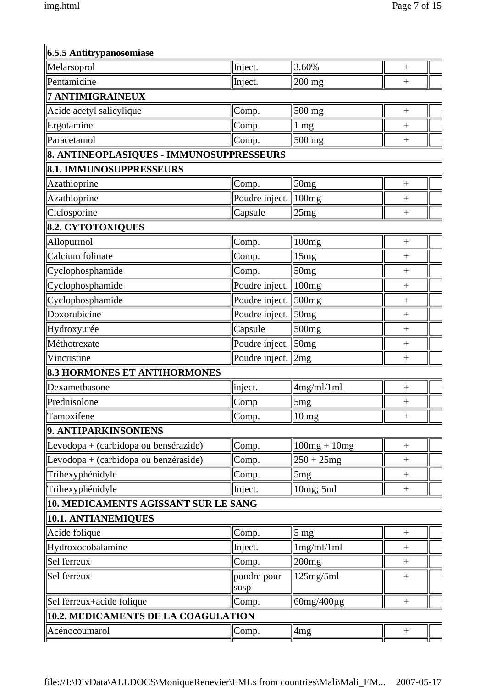# **6.5.5 Antitrypanosomiase**

| Melarsoprol                              | Inject.             | 3.60%                  | $^{+}$           |
|------------------------------------------|---------------------|------------------------|------------------|
| Pentamidine                              | Inject.             | $\vert 200 \rangle$ mg | $^{+}$           |
| <b>7 ANTIMIGRAINEUX</b>                  |                     |                        |                  |
| Acide acetyl salicylique                 | Comp.               | $500 \text{ mg}$       |                  |
| Ergotamine                               | Comp.               | 1 mg                   | $^{+}$           |
| Paracetamol                              | Comp.               | $500 \text{ mg}$       | $^{+}$           |
| 8. ANTINEOPLASIQUES - IMMUNOSUPPRESSEURS |                     |                        |                  |
| 8.1. IMMUNOSUPPRESSEURS                  |                     |                        |                  |
| Azathioprine                             | Comp.               | 50mg                   | $\! + \!$        |
| Azathioprine                             | Poudre inject.      | 100mg                  | $^{+}$           |
| Ciclosporine                             | Capsule             | 25mg                   | $^{+}$           |
| <b>8.2. CYTOTOXIQUES</b>                 |                     |                        |                  |
| Allopurinol                              | Comp.               | 100mg                  | $^{+}$           |
| Calcium folinate                         | Comp.               | 15mg                   | $^{+}$           |
| Cyclophosphamide                         | Comp.               | 50mg                   | $^{+}$           |
| Cyclophosphamide                         | Poudre inject.      | 100mg                  | $^{+}$           |
| Cyclophosphamide                         | Poudre inject.      | 500mg                  | $^{+}$           |
| Doxorubicine                             | Poudre inject.      | 50mg                   | $^{+}$           |
| Hydroxyurée                              | Capsule             | 500 <sub>mg</sub>      | $^{+}$           |
| Méthotrexate                             | Poudre inject.      | $\sqrt{50}$ mg         | $^{+}$           |
| Vincristine                              | Poudre inject.      | $\parallel 2mg$        | $^{+}$           |
| <b>8.3 HORMONES ET ANTIHORMONES</b>      |                     |                        |                  |
| Dexamethasone                            | inject.             | 4mg/ml/1ml             | $\overline{+}$   |
| Prednisolone                             | Comp                | 5 <sub>mg</sub>        | $\! + \!$        |
| Tamoxifene                               | Comp.               | $10$ mg                | $\! + \!$        |
| 9. ANTIPARKINSONIENS                     |                     |                        |                  |
| Levodopa + (carbidopa ou bensérazide)    | Comp.               | $100mg + 10mg$         | $^{+}$           |
| Levodopa + (carbidopa ou benzéraside)    | Comp.               | $250 + 25mg$           | $\! + \!$        |
| Trihexyphénidyle                         | Comp.               | 5mg                    | $\boldsymbol{+}$ |
| Trihexyphénidyle                         | Inject.             | 10mg; 5ml              | $^{+}$           |
| 10. MEDICAMENTS AGISSANT SUR LE SANG     |                     |                        |                  |
| 10.1. ANTIANEMIQUES                      |                     |                        |                  |
| Acide folique                            | Comp.               | $\frac{5}{3}$ mg       | $^{+}$           |
| Hydroxocobalamine                        | Inject.             | 1mg/ml/1ml             | $\boldsymbol{+}$ |
| Sel ferreux                              | Comp.               | 200mg                  | $\! +$           |
| Sel ferreux                              | poudre pour<br>susp | 125mg/5ml              | $^{+}$           |
| Sel ferreux+acide folique                | Comp.               | $60mg/400\mu$ g        | $^{+}$           |
| 10.2. MEDICAMENTS DE LA COAGULATION      |                     |                        |                  |
| Acénocoumarol                            | Comp.               | 4 <sub>mg</sub>        | $^{+}$           |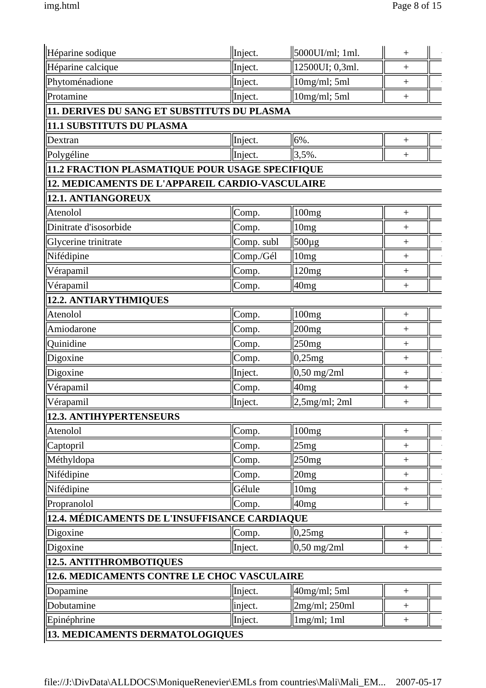| Héparine sodique                                | Inject.    | $ 5000$ UI/ml; 1ml.   | $^{+}$            |
|-------------------------------------------------|------------|-----------------------|-------------------|
| Héparine calcique                               | Inject.    | 12500UI; 0,3ml.       | $\ddot{}$         |
| Phytoménadione                                  | Inject.    | 10mg/ml; 5ml          | $\boldsymbol{+}$  |
| Protamine                                       | Inject.    | 10mg/ml; 5ml          | $^{+}$            |
| 11. DERIVES DU SANG ET SUBSTITUTS DU PLASMA     |            |                       |                   |
| 11.1 SUBSTITUTS DU PLASMA                       |            |                       |                   |
| Dextran                                         | Inject.    | 6%.                   | $\! + \!$         |
| Polygéline                                      | Inject.    | 3,5%.                 | $^{+}$            |
| 11.2 FRACTION PLASMATIQUE POUR USAGE SPECIFIQUE |            |                       |                   |
| 12. MEDICAMENTS DE L'APPAREIL CARDIO-VASCULAIRE |            |                       |                   |
| 12.1. ANTIANGOREUX                              |            |                       |                   |
| Atenolol                                        | Comp.      | 100mg                 | $^{+}$            |
| Dinitrate d'isosorbide                          | Comp.      | 10 <sub>mg</sub>      | $^{+}$            |
| Glycerine trinitrate                            | Comp. subl | 500µg                 | $^{+}$            |
| Nifédipine                                      | Comp./Gél  | 10 <sub>mg</sub>      | $^{+}$            |
| Vérapamil                                       | Comp.      | 120mg                 | $^{+}$            |
| Vérapamil                                       | Comp.      | 40mg                  | $^{+}$            |
| 12.2. ANTIARYTHMIQUES                           |            |                       |                   |
| Atenolol                                        | Comp.      | 100mg                 | $^{+}$            |
| Amiodarone                                      | Comp.      | $ 200$ mg             | $^{+}$            |
| Quinidine                                       | Comp.      | 250mg                 | $\overline{+}$    |
| Digoxine                                        | Comp.      | 0,25mg                | $\! + \!$         |
| Digoxine                                        | Inject.    | $0,50 \text{ mg/2ml}$ | $\overline{+}$    |
| Vérapamil                                       | Comp.      | 40mg                  | $\! + \!$         |
| Vérapamil                                       | Inject.    | $2,5$ mg/ml; 2ml      | $\ddot{}$         |
| 12.3. ANTIHYPERTENSEURS                         |            |                       |                   |
| Atenolol                                        | Comp.      | 100mg                 | $^{+}$            |
| Captopril                                       | Comp.      | 25mg                  | $^{+}$            |
| Méthyldopa                                      | Comp.      | 250mg                 | $^{+}$            |
| Nifédipine                                      | Comp.      | 20mg                  | $\! + \!$         |
| Nifédipine                                      | Gélule     | 10mg                  | $\qquad \qquad +$ |
| Propranolol                                     | Comp.      | 40mg                  |                   |
| 12.4. MÉDICAMENTS DE L'INSUFFISANCE CARDIAQUE   |            |                       |                   |
| Digoxine                                        | Comp.      | 0,25mg                | $\ddot{}$         |
| Digoxine                                        | Inject.    | $0,50 \text{ mg/2ml}$ | $\! +$            |
| 12.5. ANTITHROMBOTIQUES                         |            |                       |                   |
| 12.6. MEDICAMENTS CONTRE LE CHOC VASCULAIRE     |            |                       |                   |
| Dopamine                                        | Inject.    | 40mg/ml; 5ml          | $\qquad \qquad +$ |
| Dobutamine                                      | inject.    | $2mg/ml$ ; 250ml      | $^{+}$            |
| Epinéphrine                                     | Inject.    | 1mg/ml; 1ml           | $^{+}$            |
| <b>13. MEDICAMENTS DERMATOLOGIQUES</b>          |            |                       |                   |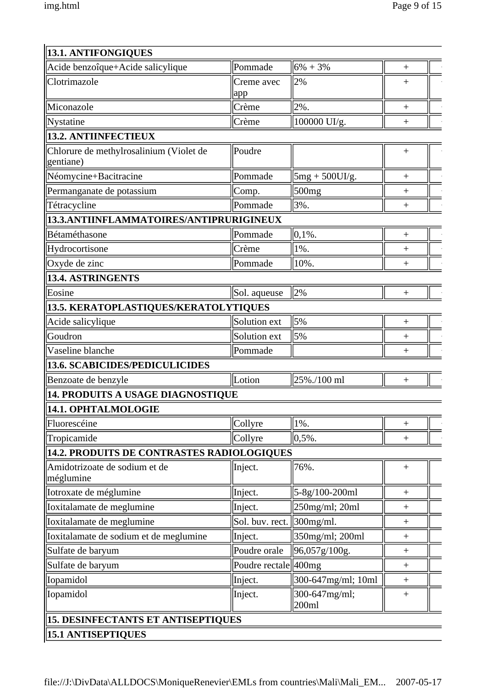| <b>13.1. ANTIFONGIQUES</b>                           |                   |                        |                  |
|------------------------------------------------------|-------------------|------------------------|------------------|
| Acide benzoîque+Acide salicylique                    | Pommade           | $6\% + 3\%$            | $^{+}$           |
| Clotrimazole                                         | Creme avec<br>app | 2%                     | $^{+}$           |
| Miconazole                                           | Crème             | 2%.                    | $+$              |
| Nystatine                                            | Crème             | 100000 UI/g.           | $^{+}$           |
| <b>13.2. ANTIINFECTIEUX</b>                          |                   |                        |                  |
| Chlorure de methylrosalinium (Violet de<br>gentiane) | Poudre            |                        | $^{+}$           |
| Néomycine+Bacitracine                                | Pommade           | $5mg + 500UI/g.$       |                  |
| Permanganate de potassium                            | Comp.             | 500 <sub>mg</sub>      | $^{+}$           |
| Tétracycline                                         | Pommade           | 3%.                    | $^{+}$           |
| 13.3.ANTIINFLAMMATOIRES/ANTIPRURIGINEUX              |                   |                        |                  |
| Bétaméthasone                                        | Pommade           | $ 0,1%$ .              | $\boldsymbol{+}$ |
| Hydrocortisone                                       | Crème             | 1%.                    | $^{+}$           |
| Oxyde de zinc                                        | Pommade           | 10%.                   | $^{+}$           |
| 13.4. ASTRINGENTS                                    |                   |                        |                  |
| Eosine                                               | Sol. aqueuse      | 2%                     | $^{+}$           |
| 13.5. KERATOPLASTIQUES/KERATOLYTIQUES                |                   |                        |                  |
| Acide salicylique                                    | Solution ext      | 5%                     | $^{+}$           |
| Goudron                                              | Solution ext      | 5%                     | $^{+}$           |
| Vaseline blanche                                     | Pommade           |                        | $^{+}$           |
| <b>  13.6. SCABICIDES/PEDICULICIDES</b>              |                   |                        |                  |
| Benzoate de benzyle                                  | Lotion            | 25%./100 ml            | $\boldsymbol{+}$ |
| <b>14. PRODUITS A USAGE DIAGNOSTIQUE</b>             |                   |                        |                  |
| 14.1. OPHTALMOLOGIE                                  |                   |                        |                  |
| Fluorescéine                                         | Collyre           | 1%.                    | $^{+}$           |
| Tropicamide                                          | Collyre           | $ 0, 5\%$ .            | $\! +$           |
| 14.2. PRODUITS DE CONTRASTES RADIOLOGIQUES           |                   |                        |                  |
| Amidotrizoate de sodium et de<br>méglumine           | Inject.           | 76%.                   | $\! +$           |
| Iotroxate de méglumine                               | Inject.           | 5-8g/100-200ml         | $\! +$           |
| Ioxitalamate de meglumine                            | Inject.           | $250$ mg/ml; $20$ ml   | $^{+}$           |
| Ioxitalamate de meglumine                            | Sol. buv. rect.   | $300$ mg/ml.           | $\! +$           |
| Ioxitalamate de sodium et de meglumine               | Inject.           | 350mg/ml; 200ml        | $\! +$           |
| Sulfate de baryum                                    | Poudre orale      | 96,057g/100g.          | $^{+}$           |
| Sulfate de baryum                                    | Poudre rectale    | 400 <sub>mg</sub>      | $\! +$           |
| Iopamidol                                            | Inject.           | 300-647mg/ml; 10ml     | $\! +$           |
| Iopamidol                                            | Inject.           | 300-647mg/ml;<br>200ml | $^{+}$           |
| 15. DESINFECTANTS ET ANTISEPTIQUES                   |                   |                        |                  |
| <b>15.1 ANTISEPTIQUES</b>                            |                   |                        |                  |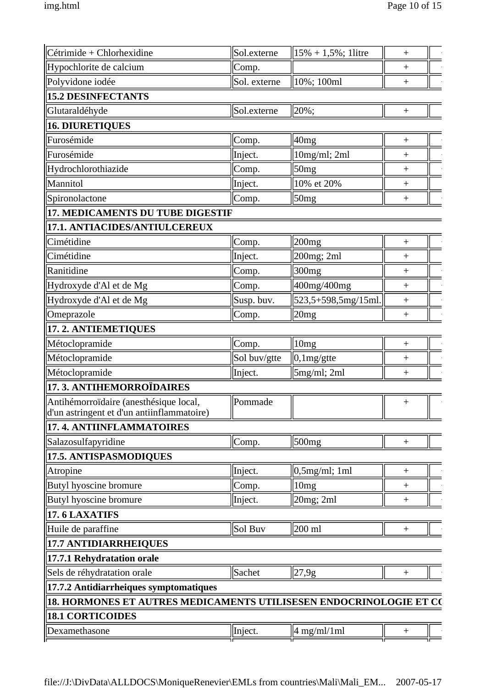| Cétrimide + Chlorhexidine                                                            | Sol.externe  | $15\% + 1,5\%$ ; 1litre | $^{+}$           |  |
|--------------------------------------------------------------------------------------|--------------|-------------------------|------------------|--|
| Hypochlorite de calcium                                                              | Comp.        |                         | $^{+}$           |  |
| Polyvidone iodée                                                                     | Sol. externe | $10\%$ ; 100ml          | $^{+}$           |  |
| <b>15.2 DESINFECTANTS</b>                                                            |              |                         |                  |  |
| Glutaraldéhyde                                                                       | Sol.externe  | 20%;                    | $^{+}$           |  |
| <b>16. DIURETIQUES</b>                                                               |              |                         |                  |  |
| Furosémide                                                                           | Comp.        | 40 <sub>mg</sub>        | $^{+}$           |  |
| Furosémide                                                                           | Inject.      | $10mg/ml$ ; 2ml         | $^{+}$           |  |
| Hydrochlorothiazide                                                                  | Comp.        | 50mg                    | $^{+}$           |  |
| Mannitol                                                                             | Inject.      | 10% et 20%              | $^{+}$           |  |
| Spironolactone                                                                       | Comp.        | 50mg                    | $\ddot{}$        |  |
| 17. MEDICAMENTS DU TUBE DIGESTIF                                                     |              |                         |                  |  |
| 17.1. ANTIACIDES/ANTIULCEREUX                                                        |              |                         |                  |  |
| Cimétidine                                                                           | Comp.        | 200mg                   | $\overline{+}$   |  |
| Cimétidine                                                                           | Inject.      | 200mg; 2ml              | $^{+}$           |  |
| Ranitidine                                                                           | Comp.        | 300 <sub>mg</sub>       | $\! + \!$        |  |
| Hydroxyde d'Al et de Mg                                                              | Comp.        | 400mg/400mg             | $\ddot{}$        |  |
| Hydroxyde d'Al et de Mg                                                              | Susp. buv.   | 523,5+598,5mg/15ml.     | $\! + \!$        |  |
| Omeprazole                                                                           | Comp.        | 20mg                    | $\! + \!$        |  |
| 17.2. ANTIEMETIQUES                                                                  |              |                         |                  |  |
| Métoclopramide                                                                       | Comp.        | 10mg                    | $\! + \!$        |  |
| Métoclopramide                                                                       | Sol buv/gtte | $ 0,1mg/g$ tte          | $^{+}$           |  |
| Métoclopramide                                                                       | Inject.      | 5mg/ml; 2ml             | $^{+}$           |  |
| 17. 3. ANTIHEMORROÏDAIRES                                                            |              |                         |                  |  |
| Antihémorroïdaire (anesthésique local,<br>d'un astringent et d'un antiinflammatoire) | Pommade      |                         | $\! + \!$        |  |
| 17. 4. ANTIINFLAMMATOIRES                                                            |              |                         |                  |  |
| Salazosulfapyridine                                                                  | Comp.        | 500mg                   | $^{+}$           |  |
| 17.5. ANTISPASMODIQUES                                                               |              |                         |                  |  |
| Atropine                                                                             | Inject.      | $\vert 0, 5mg/ml$ ; 1ml | $^{+}$           |  |
| Butyl hyoscine bromure                                                               | Comp.        | 10mg                    | $^{+}$           |  |
| Butyl hyoscine bromure                                                               | Inject.      | 20mg; 2ml               | $^{+}$           |  |
| 17.6 LAXATIFS                                                                        |              |                         |                  |  |
| Huile de paraffine                                                                   | Sol Buv      | $ 200 \text{ ml} $      | $\boldsymbol{+}$ |  |
| <b>17.7 ANTIDIARRHEIQUES</b>                                                         |              |                         |                  |  |
| 17.7.1 Rehydratation orale                                                           |              |                         |                  |  |
| Sels de réhydratation orale                                                          | Sachet       | $\parallel$ 27,9g       | $^{+}$           |  |
| 17.7.2 Antidiarrheiques symptomatiques                                               |              |                         |                  |  |
| 18. HORMONES ET AUTRES MEDICAMENTS UTILISESEN ENDOCRINOLOGIE ET CO                   |              |                         |                  |  |
| <b>18.1 CORTICOIDES</b>                                                              |              |                         |                  |  |
| Dexamethasone                                                                        | Inject.      | $4$ mg/ml/1ml           | $^{+}$           |  |
|                                                                                      |              |                         |                  |  |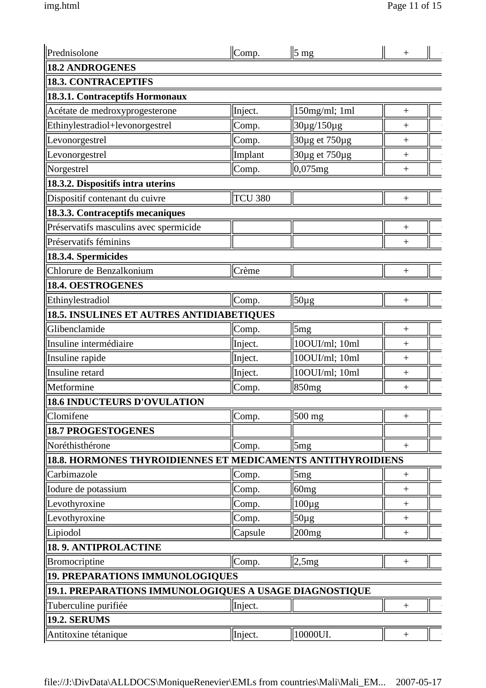| Prednisolone                                                | Comp.          | $\parallel$ 5 mg  | $\overline{+}$   |
|-------------------------------------------------------------|----------------|-------------------|------------------|
| <b>18.2 ANDROGENES</b>                                      |                |                   |                  |
| <b>18.3. CONTRACEPTIFS</b>                                  |                |                   |                  |
| 18.3.1. Contraceptifs Hormonaux                             |                |                   |                  |
| Acétate de medroxyprogesterone                              | Inject.        | 150mg/ml; 1ml     | $^{+}$           |
| Ethinylestradiol+levonorgestrel                             | Comp.          | 30µg/150µg        | $^{+}$           |
| Levonorgestrel                                              | Comp.          | 30µg et 750µg     |                  |
| Levonorgestrel                                              | Implant        | 30µg et 750µg     |                  |
| Norgestrel                                                  | Comp.          | $ 0,075$ mg       | $^{+}$           |
| 18.3.2. Dispositifs intra uterins                           |                |                   |                  |
| Dispositif contenant du cuivre                              | <b>TCU 380</b> |                   |                  |
| 18.3.3. Contraceptifs mecaniques                            |                |                   |                  |
| Préservatifs masculins avec spermicide                      |                |                   | $^{+}$           |
| Préservatifs féminins                                       |                |                   | $^{+}$           |
| 18.3.4. Spermicides                                         |                |                   |                  |
| Chlorure de Benzalkonium                                    | Crème          |                   | $^{+}$           |
| 18.4. OESTROGENES                                           |                |                   |                  |
| Ethinylestradiol                                            | Comp.          | $50\mu g$         | $^{+}$           |
| 18.5. INSULINES ET AUTRES ANTIDIABETIQUES                   |                |                   |                  |
| Glibenclamide                                               | Comp.          | 5mg               | $^{+}$           |
| Insuline intermédiaire                                      | Inject.        | 10OUI/ml; 10ml    | $^{+}$           |
| Insuline rapide                                             | Inject.        | 10OUI/ml; 10ml    | $^{+}$           |
| Insuline retard                                             | Inject.        | 10OUI/ml; 10ml    | $^{+}$           |
| Metformine                                                  | Comp.          | 850 <sub>mg</sub> | $^{+}$           |
| <b>18.6 INDUCTEURS D'OVULATION</b>                          |                |                   |                  |
| Clomifene                                                   | Comp.          | $500$ mg          | $^{+}$           |
| <b>18.7 PROGESTOGENES</b>                                   |                |                   |                  |
| Noréthisthérone                                             | Comp.          | $\mathfrak{Im}g$  | $\ddot{}$        |
| 18.8. HORMONES THYROIDIENNES ET MEDICAMENTS ANTITHYROIDIENS |                |                   |                  |
| Carbimazole                                                 | Comp.          | 5mg               | $\! +$           |
| Iodure de potassium                                         | Comp.          | 60mg              | $^{+}$           |
| Levothyroxine                                               | Comp.          | $100\mu g$        | $^{+}$           |
| Levothyroxine                                               | Comp.          | $50 \mu g$        | $\! + \!$        |
| Lipiodol                                                    | Capsule        | 200 <sub>mg</sub> | $\boldsymbol{+}$ |
| <b>18.9. ANTIPROLACTINE</b>                                 |                |                   |                  |
| <b>Bromocriptine</b>                                        | Comp.          | 2,5mg             | $^{+}$           |
| 19. PREPARATIONS IMMUNOLOGIQUES                             |                |                   |                  |
| 19.1. PREPARATIONS IMMUNOLOGIQUES A USAGE DIAGNOSTIQUE      |                |                   |                  |
| Tuberculine purifiée                                        | Inject.        |                   | $^{+}$           |
| <b>19.2. SERUMS</b>                                         |                |                   |                  |
| Antitoxine tétanique                                        | Inject.        | 10000UI.          | $\ddot{}$        |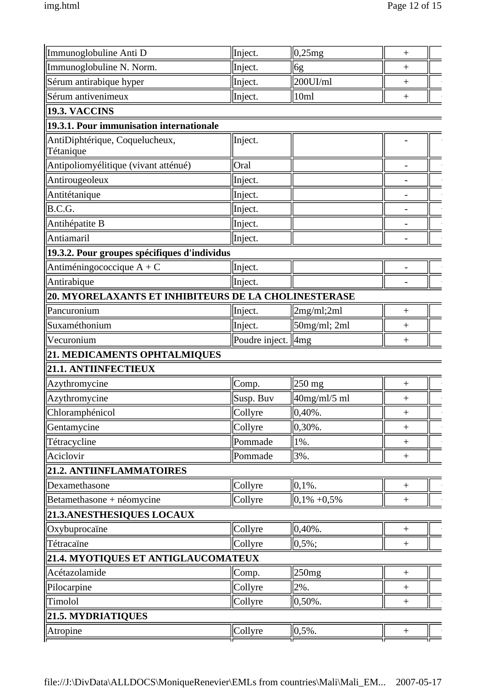| Immunoglobuline Anti D                               | Inject.              | 0,25mg               | $^{+}$           |
|------------------------------------------------------|----------------------|----------------------|------------------|
| Immunoglobuline N. Norm.                             | Inject.              | 6g                   | $^{+}$           |
| Sérum antirabique hyper                              | Inject.              | 200UI/ml             | $^{+}$           |
| Sérum antivenimeux                                   | Inject.              | 10ml                 | $^{+}$           |
| <b>19.3. VACCINS</b>                                 |                      |                      |                  |
| 19.3.1. Pour immunisation internationale             |                      |                      |                  |
| AntiDiphtérique, Coquelucheux,<br>Tétanique          | Inject.              |                      |                  |
| Antipoliomyélitique (vivant atténué)                 | Oral                 |                      |                  |
| Antirougeoleux                                       | Inject.              |                      |                  |
| Antitétanique                                        | Inject.              |                      |                  |
| B.C.G.                                               | Inject.              |                      |                  |
| Antihépatite B                                       | Inject.              |                      |                  |
| Antiamaril                                           | Inject.              |                      |                  |
| 19.3.2. Pour groupes spécifiques d'individus         |                      |                      |                  |
| Antiméningococcique $A + C$                          | Inject.              |                      |                  |
| Antirabique                                          | Inject.              |                      |                  |
| 20. MYORELAXANTS ET INHIBITEURS DE LA CHOLINESTERASE |                      |                      |                  |
| Pancuronium                                          | Inject.              | 2mg/ml;2ml           | $^{+}$           |
| Suxaméthonium                                        | Inject.              | $50mg/ml$ ; 2ml      | $^{+}$           |
| Vecuronium                                           | Poudre inject.   4mg |                      | $^{+}$           |
| 21. MEDICAMENTS OPHTALMIQUES                         |                      |                      |                  |
| 21.1. ANTIINFECTIEUX                                 |                      |                      |                  |
| Azythromycine                                        | Comp.                | $250$ mg             | $^{+}$           |
| Azythromycine                                        | Susp. Buv            | $40$ mg/ml/5 ml      | $^{+}$           |
| Chloramphénicol                                      | Collyre              | $\parallel 0,40\%$ . | $^{+}$           |
| Gentamycine                                          | Collyre              | $ 0,30\%$ .          | $^{+}$           |
| Tétracycline                                         | Pommade              | 1%.                  | $\boldsymbol{+}$ |
| Aciclovir                                            | Pommade              | 3%.                  | $\boldsymbol{+}$ |
| 21.2. ANTIINFLAMMATOIRES                             |                      |                      |                  |
| Dexamethasone                                        | Collyre              | $ 0, 1\%$ .          | $\boldsymbol{+}$ |
| Betamethasone + néomycine                            | Collyre              | $ 0,1\% +0,5\%$      | $\boldsymbol{+}$ |
| 21.3. ANESTHESIQUES LOCAUX                           |                      |                      |                  |
| Oxybuprocaïne                                        | Collyre              | $ 0,40\%$ .          | $\boldsymbol{+}$ |
| Tétracaïne                                           | Collyre              | $ 0, 5\%;$           | $^{+}$           |
| 21.4. MYOTIQUES ET ANTIGLAUCOMATEUX                  |                      |                      |                  |
| Acétazolamide                                        | Comp.                | 250mg                | $\boldsymbol{+}$ |
| Pilocarpine                                          | Collyre              | 2%.                  | $\boldsymbol{+}$ |
| Timolol                                              | Collyre              | $ 0,50\%$ .          | $^{+}$           |
| <b>21.5. MYDRIATIQUES</b>                            |                      |                      |                  |
| Atropine                                             | Collyre              | $  0,5\%$ .          |                  |
|                                                      |                      |                      |                  |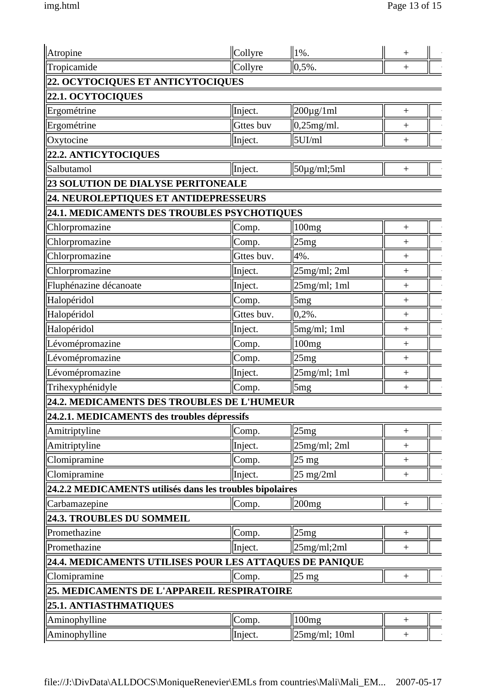| Atropine                                                 | Collyre          | $ 1\%$ .                    | $^+$             |
|----------------------------------------------------------|------------------|-----------------------------|------------------|
| Tropicamide                                              | Collyre          | $\ 0, 5\%$ .                | $\ddot{}$        |
| 22. OCYTOCIQUES ET ANTICYTOCIQUES                        |                  |                             |                  |
| 22.1. OCYTOCIQUES                                        |                  |                             |                  |
| Ergométrine                                              | Inject.          | $200 \mu g / 1 \text{ml}$   | $^{+}$           |
| Ergométrine                                              | <b>Gttes buv</b> | $0,25$ mg/ml.               | $^{+}$           |
| Oxytocine                                                | Inject.          | $5$ UI/ml                   | $^{+}$           |
| 22.2. ANTICYTOCIQUES                                     |                  |                             |                  |
| Salbutamol                                               | Inject.          | $50\mu$ g/ml;5ml            | $^{+}$           |
| 23 SOLUTION DE DIALYSE PERITONEALE                       |                  |                             |                  |
| 24. NEUROLEPTIQUES ET ANTIDEPRESSEURS                    |                  |                             |                  |
| 24.1. MEDICAMENTS DES TROUBLES PSYCHOTIQUES              |                  |                             |                  |
| Chlorpromazine                                           | Comp.            | 100mg                       | $^{+}$           |
| Chlorpromazine                                           | Comp.            | 25mg                        | $^{+}$           |
| Chlorpromazine                                           | Gttes buv.       | 4%.                         | $^{+}$           |
| Chlorpromazine                                           | Inject.          | $25mg/ml$ ; 2ml             | $^{+}$           |
| Fluphénazine décanoate                                   | Inject.          | $25mg/ml$ ; 1ml             | $\ddot{}$        |
| Halopéridol                                              | Comp.            | 5mg                         | $^{+}$           |
| Halopéridol                                              | Gttes buv.       | $ 0,2%$ .                   | $^{+}$           |
| Halopéridol                                              | Inject.          | $5mg/ml$ ; 1ml              | $^{+}$           |
| Lévomépromazine                                          | Comp.            | 100mg                       | $\! + \!$        |
| Lévomépromazine                                          | Comp.            | 25mg                        | $\! + \!$        |
| Lévomépromazine                                          | Inject.          | 25mg/ml; 1ml                | $\boldsymbol{+}$ |
| Trihexyphénidyle                                         | Comp.            | 5mg                         | $\! + \!$        |
| 24.2. MEDICAMENTS DES TROUBLES DE L'HUMEUR               |                  |                             |                  |
| 24.2.1. MEDICAMENTS des troubles dépressifs              |                  |                             |                  |
| Amitriptyline                                            | Comp.            | 25mg                        | $^{+}$           |
| Amitriptyline                                            | Inject.          | $25mg/ml$ ; 2ml             | $^{+}$           |
| Clomipramine                                             | Comp.            | $25 \text{ mg}$             | $^{+}$           |
| Clomipramine                                             | Inject.          | $25 \text{ mg}/2 \text{ml}$ | $^{+}$           |
| 24.2.2 MEDICAMENTS utilisés dans les troubles bipolaires |                  |                             |                  |
| Carbamazepine                                            | Comp.            | 200 <sub>mg</sub>           | $\! +$           |
| 24.3. TROUBLES DU SOMMEIL                                |                  |                             |                  |
| Promethazine                                             | Comp.            | 25mg                        | $^{+}$           |
| Promethazine                                             | Inject.          | 25mg/ml;2ml                 | $\! +$           |
| 24.4. MEDICAMENTS UTILISES POUR LES ATTAQUES DE PANIQUE  |                  |                             |                  |
| Clomipramine                                             | Comp.            | $ 25 \text{ mg} $           | $\boldsymbol{+}$ |
| 25. MEDICAMENTS DE L'APPAREIL RESPIRATOIRE               |                  |                             |                  |
| 25.1. ANTIASTHMATIQUES                                   |                  |                             |                  |
| Aminophylline                                            | Comp.            | 100mg                       | $\! +$           |
| Aminophylline                                            | Inject.          | $25mg/ml$ ; 10ml            | $\! +$           |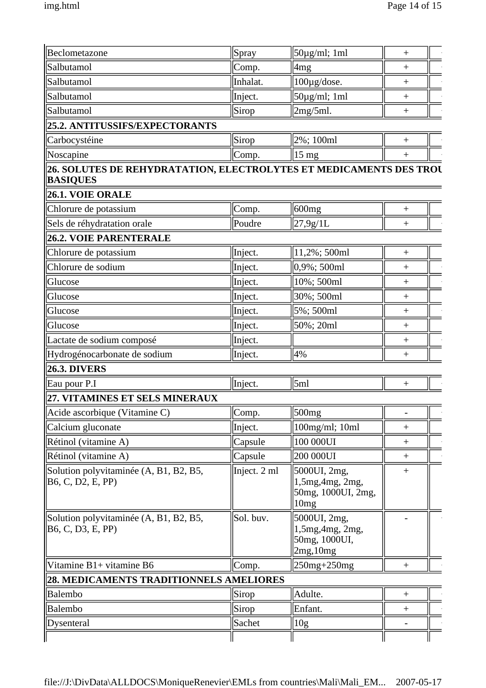| Beclometazone                                                                         | Spray        | $50\mu$ g/ml; 1ml                                            | $^{+}$         |
|---------------------------------------------------------------------------------------|--------------|--------------------------------------------------------------|----------------|
| Salbutamol                                                                            | Comp.        | 4mg                                                          | $^{+}$         |
| Salbutamol                                                                            | Inhalat.     | 100µg/dose.                                                  | $\! + \!$      |
| Salbutamol                                                                            | Inject.      | $50\mu g/ml$ ; 1ml                                           | $^{+}$         |
| Salbutamol                                                                            | Sirop        | 2mg/5ml.                                                     | $\! + \!$      |
| 25.2. ANTITUSSIFS/EXPECTORANTS                                                        |              |                                                              |                |
| Carbocystéine                                                                         | Sirop        | $2\%$ ; 100ml                                                | $\overline{+}$ |
| Noscapine                                                                             | Comp.        | $ 15 \text{ mg} $                                            | $^{+}$         |
| 26. SOLUTES DE REHYDRATATION, ELECTROLYTES ET MEDICAMENTS DES TROU<br><b>BASIQUES</b> |              |                                                              |                |
| 26.1. VOIE ORALE                                                                      |              |                                                              |                |
| Chlorure de potassium                                                                 | Comp.        | 600 <sub>mg</sub>                                            | $\! + \!$      |
| Sels de réhydratation orale                                                           | Poudre       | 27,9g/1L                                                     | $^{+}$         |
| 26.2. VOIE PARENTERALE                                                                |              |                                                              |                |
| Chlorure de potassium                                                                 | Inject.      | $11,2\%$ ; 500ml                                             | $\overline{+}$ |
| Chlorure de sodium                                                                    | Inject.      | $ 0,9\%;500m1$                                               | $^{+}$         |
| Glucose                                                                               | Inject.      | $10\%$ ; 500ml                                               | $^{+}$         |
| Glucose                                                                               | Inject.      | 30%; 500ml                                                   | $^{+}$         |
| Glucose                                                                               | Inject.      | 5%; 500ml                                                    | $^{+}$         |
| Glucose                                                                               | Inject.      | 50%; 20ml                                                    | $^{+}$         |
| Lactate de sodium composé                                                             | Inject.      |                                                              | $\ddot{}$      |
| Hydrogénocarbonate de sodium                                                          | Inject.      | 4%                                                           | $^{+}$         |
| <b>26.3. DIVERS</b>                                                                   |              |                                                              |                |
| Eau pour P.I                                                                          | Inject.      | 5ml                                                          | $^{+}$         |
| 27. VITAMINES ET SELS MINERAUX                                                        |              |                                                              |                |
| Acide ascorbique (Vitamine C)                                                         | Comp.        | 500 <sub>mg</sub>                                            |                |
| Calcium gluconate                                                                     | Inject.      | 100mg/ml; 10ml                                               | $^{+}$         |
| Rétinol (vitamine A)                                                                  | Capsule      | 100 000UI                                                    | $^{+}$         |
| Rétinol (vitamine A)                                                                  | Capsule      | 200 000UI                                                    | $\! +$         |
| Solution polyvitaminée (A, B1, B2, B5,<br>B <sub>6</sub> , C, D <sub>2</sub> , E, PP) | Inject. 2 ml | 5000UI, 2mg,<br>1,5mg,4mg,2mg,<br>50mg, 1000UI, 2mg,<br>10mg | $^{+}$         |
| Solution polyvitaminée (A, B1, B2, B5,<br>B6, C, D3, E, PP                            | Sol. buv.    | 5000UI, 2mg,<br>1,5mg,4mg,2mg,<br>50mg, 1000UI,<br>2mg, 10mg |                |
| Vitamine B1+ vitamine B6                                                              | Comp.        | 250mg+250mg                                                  | $^{+}$         |
| 28. MEDICAMENTS TRADITIONNELS AMELIORES                                               |              |                                                              |                |
| Balembo                                                                               | Sirop        | Adulte.                                                      | $^{+}$         |
| Balembo                                                                               | Sirop        | Enfant.                                                      | $^{+}$         |
| Dysenteral                                                                            | Sachet       | 10g                                                          |                |